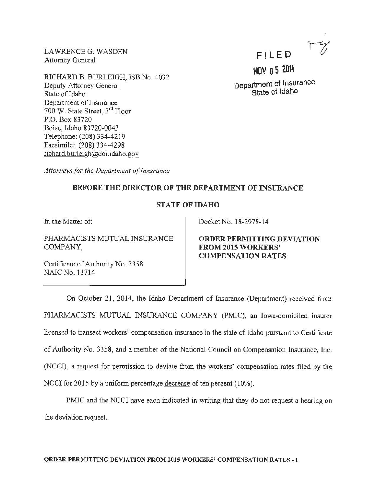LAWRENCE G. WASDEN Attorney General

RICHARD B. BURLEIGH, ISB No. 4032 Deputy Attorney General State of Idaho Department of Insurance 700 W. State Street, 3rd Floor P.O. Box 83720 Boise, Idaho 83720-0043 Telephone: (208) 334-4219 Facsimile: (208) 334-4298 richard. burleigh@doi. idaho.gov

FILED

NOV 0 5 2014 Department of Insurance State of Idaho

*Attorneys for the Department of Insurance* 

## BEFORE THE DIRECTOR OF THE DEPARTMENT OF INSURANCE

## STATE OF IDAHO

In the Matter of:

PHARMACISTS MUTUAL INSURANCE COMPANY,

Docket No. 18-2978-14

ORDER PERMITTING DEVIATION FROM 2015 WORKERS' COMPENSATION RATES

Certificate of Authority No. 3358 NAlC No. 13714

On October 21, 2014, the Idaho Department of Insurance (Department) received from PHARMACISTS MUTUAL INSURANCE COMPANY (PMIC), an Iowa-domiciled insurer licensed to transact workers' compensation insurance in the state of Idaho pursuant to Certificate of Authority No. 3358, and a member of the National Council on Compensation Insurance, Inc. (NCCI), a request for permission to deviate from the workers' compensation rates filed by the NCCI for 2015 by a uniform percentage decrease of ten percent (10%).

PMIC and the NCCI have each indicated in writing that they do not request a hearing on the deviation request.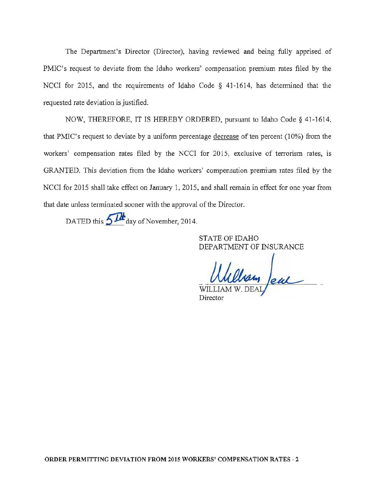The Department's Director (Director), having reviewed and being fully apprised of PMIC's request to deviate from the Idaho workers' compensation premium rates filed by the NCCI for 2015, and the requirements of Idaho Code § 41-1614, has determined that the requested rate deviation is justified.

NOW, THEREFORE, IT IS HEREBY ORDERED, pursuant to Idaho Code § 41-1614. that PMIC's request to deviate by a uniform percentage decrease of ten percent  $(10\%)$  from the workers' compensation rates filed by the NCCI for 2015, exclusive of terrorism rates, is GRANTED. This deviation from the Idaho workers' compensation premium rates filed by the NCCI for 2015 shall take effect on January 1, 2015, and shall remain in effect for one year from that date unless terminated sooner with the approval of the Director.

DATED this  $5$   $\mathcal{D}$  day of November, 2014.

STATE OF IDAHO DEPARTMENT OF INSURANCE

Ulliam Jeal

Director